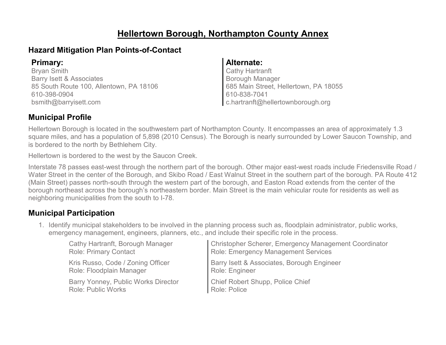#### **Hellertown Borough, Northampton County Annex**

#### **Hazard Mitigation Plan Points-of-Contact**

Bryan Smith Barry Isett & Associates 85 South Route 100, Allentown, PA 18106 610-398-0904 bsmith@barryisett.com

#### **Primary: Alternate:**

Cathy Hartranft Borough Manager 685 Main Street, Hellertown, PA 18055 610-838-7041 c.hartranft@hellertownborough.org

#### **Municipal Profile**

Hellertown Borough is located in the southwestern part of Northampton County. It encompasses an area of approximately 1.3 square miles, and has a population of 5,898 (2010 Census). The Borough is nearly surrounded by Lower Saucon Township, and is bordered to the north by Bethlehem City.

Hellertown is bordered to the west by the Saucon Creek.

Interstate 78 passes east-west through the northern part of the borough. Other major east-west roads include Friedensville Road / Water Street in the center of the Borough, and Skibo Road / East Walnut Street in the southern part of the borough. PA Route 412 (Main Street) passes north-south through the western part of the borough, and Easton Road extends from the center of the borough northeast across the borough's northeastern border. Main Street is the main vehicular route for residents as well as neighboring municipalities from the south to I-78.

#### **Municipal Participation**

1. Identify municipal stakeholders to be involved in the planning process such as, floodplain administrator, public works, emergency management, engineers, planners, etc., and include their specific role in the process.

| Cathy Hartranft, Borough Manager    | Christopher Scherer, Emergency Management Coordinator |
|-------------------------------------|-------------------------------------------------------|
| <b>Role: Primary Contact</b>        | <b>Role: Emergency Management Services</b>            |
| Kris Russo, Code / Zoning Officer   | Barry Isett & Associates, Borough Engineer            |
| Role: Floodplain Manager            | Role: Engineer                                        |
| Barry Yonney, Public Works Director | Chief Robert Shupp, Police Chief                      |
| <b>Role: Public Works</b>           | Role: Police                                          |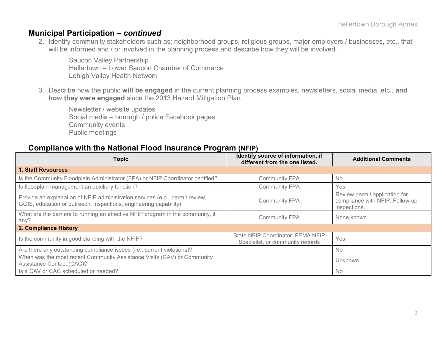#### **Municipal Participation –** *continued*

2. Identify community stakeholders such as; neighborhood groups, religious groups, major employers / businesses, etc., that will be informed and / or involved in the planning process and describe how they will be involved.

Saucon Valley Partnership Hellertown – Lower Saucon Chamber of Commerce Lehigh Valley Health Network

3. Describe how the public **will be engaged** in the current planning process examples, newsletters, social media, etc., **and how they were engaged** since the 2013 Hazard Mitigation Plan.

Newsletter / website updates Social media – borough / police Facebook pages Community events Public meetings

#### **Compliance with the National Flood Insurance Program (NFIP)**

| <b>Topic</b>                                                                                                                                      | Identify source of information, if<br>different from the one listed.  | <b>Additional Comments</b>                                                       |
|---------------------------------------------------------------------------------------------------------------------------------------------------|-----------------------------------------------------------------------|----------------------------------------------------------------------------------|
| <b>1. Staff Resources</b>                                                                                                                         |                                                                       |                                                                                  |
| Is the Community Floodplain Administrator (FPA) or NFIP Coordinator certified?                                                                    | <b>Community FPA</b>                                                  | <b>No</b>                                                                        |
| Is floodplain management an auxiliary function?                                                                                                   | <b>Community FPA</b>                                                  | <b>Yes</b>                                                                       |
| Provide an explanation of NFIP administration services (e.g., permit review,<br>GGIS, education or outreach, inspections, engineering capability) | <b>Community FPA</b>                                                  | Review permit application for<br>compliance with NFIP. Follow-up<br>inspections. |
| What are the barriers to running an effective NFIP program in the community, if<br>any?                                                           | <b>Community FPA</b>                                                  | None known                                                                       |
| 2. Compliance History                                                                                                                             |                                                                       |                                                                                  |
| Is the community in good standing with the NFIP?                                                                                                  | State NFIP Coordinator, FEMA NFIP<br>Specialist, or community records | Yes                                                                              |
| Are there any outstanding compliance issues (i.e., current violations)?                                                                           |                                                                       | No                                                                               |
| When was the most recent Community Assistance Visits (CAV) or Community<br>Assistance Contact (CAC)?                                              |                                                                       | Unknown                                                                          |
| Is a CAV or CAC scheduled or needed?                                                                                                              |                                                                       | <b>No</b>                                                                        |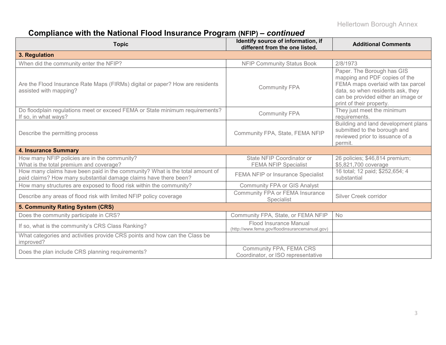# **Compliance with the National Flood Insurance Program (NFIP) –** *continued*

| <b>Topic</b>                                                                                                                                     | Identify source of information, if<br>different from the one listed.     | <b>Additional Comments</b>                                                                                                                                                                               |
|--------------------------------------------------------------------------------------------------------------------------------------------------|--------------------------------------------------------------------------|----------------------------------------------------------------------------------------------------------------------------------------------------------------------------------------------------------|
| 3. Regulation                                                                                                                                    |                                                                          |                                                                                                                                                                                                          |
| When did the community enter the NFIP?                                                                                                           | <b>NFIP Community Status Book</b>                                        | 2/8/1973                                                                                                                                                                                                 |
| Are the Flood Insurance Rate Maps (FIRMs) digital or paper? How are residents<br>assisted with mapping?                                          | <b>Community FPA</b>                                                     | Paper. The Borough has GIS<br>mapping and PDF copies of the<br>FEMA maps overlaid with tax parcel<br>data, so when residents ask, they<br>can be provided either an image or<br>print of their property. |
| Do floodplain regulations meet or exceed FEMA or State minimum requirements?<br>If so, in what ways?                                             | <b>Community FPA</b>                                                     | They just meet the minimum<br>requirements.                                                                                                                                                              |
| Describe the permitting process                                                                                                                  | Community FPA, State, FEMA NFIP                                          | Building and land development plans<br>submitted to the borough and<br>reviewed prior to issuance of a<br>permit.                                                                                        |
| <b>4. Insurance Summary</b>                                                                                                                      |                                                                          |                                                                                                                                                                                                          |
| How many NFIP policies are in the community?<br>What is the total premium and coverage?                                                          | State NFIP Coordinator or<br><b>FEMA NFIP Specialist</b>                 | 26 policies; \$46,814 premium;<br>\$5,821,700 coverage                                                                                                                                                   |
| How many claims have been paid in the community? What is the total amount of<br>paid claims? How many substantial damage claims have there been? | FEMA NFIP or Insurance Specialist                                        | 16 total; 12 paid; \$252,654; 4<br>substantial                                                                                                                                                           |
| How many structures are exposed to flood risk within the community?                                                                              | Community FPA or GIS Analyst                                             |                                                                                                                                                                                                          |
| Describe any areas of flood risk with limited NFIP policy coverage                                                                               | Community FPA or FEMA Insurance<br>Specialist                            | Silver Creek corridor                                                                                                                                                                                    |
| 5. Community Rating System (CRS)                                                                                                                 |                                                                          |                                                                                                                                                                                                          |
| Does the community participate in CRS?                                                                                                           | Community FPA, State, or FEMA NFIP                                       | <b>No</b>                                                                                                                                                                                                |
| If so, what is the community's CRS Class Ranking?                                                                                                | Flood Insurance Manual<br>(http://www.fema.gov/floodinsurancemanual.gov) |                                                                                                                                                                                                          |
| What categories and activities provide CRS points and how can the Class be<br>improved?                                                          |                                                                          |                                                                                                                                                                                                          |
| Does the plan include CRS planning requirements?                                                                                                 | Community FPA, FEMA CRS<br>Coordinator, or ISO representative            |                                                                                                                                                                                                          |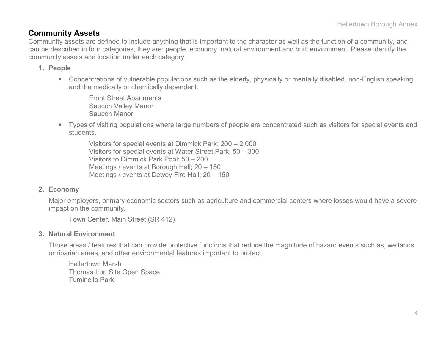#### **Community Assets**

Community assets are defined to include anything that is important to the character as well as the function of a community, and can be described in four categories, they are; people, economy, natural environment and built environment. Please identify the community assets and location under each category.

#### **1. People**

 Concentrations of vulnerable populations such as the elderly, physically or mentally disabled, non-English speaking, and the medically or chemically dependent.

Front Street Apartments Saucon Valley Manor Saucon Manor

 Types of visiting populations where large numbers of people are concentrated such as visitors for special events and students.

Visitors for special events at Dimmick Park; 200 – 2,000 Visitors for special events at Water Street Park; 50 – 300 Visitors to Dimmick Park Pool; 50 – 200 Meetings / events at Borough Hall; 20 – 150 Meetings / events at Dewey Fire Hall; 20 – 150

#### **2. Economy**

Major employers, primary economic sectors such as agriculture and commercial centers where losses would have a severe impact on the community.

Town Center, Main Street (SR 412)

#### **3. Natural Environment**

Those areas / features that can provide protective functions that reduce the magnitude of hazard events such as, wetlands or riparian areas, and other environmental features important to protect.

Hellertown Marsh Thomas Iron Site Open Space Tuminello Park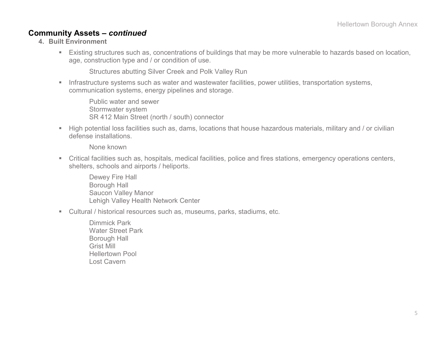#### **Community Assets –** *continued*

- **4. Built Environment**
	- Existing structures such as, concentrations of buildings that may be more vulnerable to hazards based on location, age, construction type and / or condition of use.

Structures abutting Silver Creek and Polk Valley Run

**Infrastructure systems such as water and wastewater facilities, power utilities, transportation systems,** communication systems, energy pipelines and storage.

Public water and sewer Stormwater system SR 412 Main Street (north / south) connector

 High potential loss facilities such as, dams, locations that house hazardous materials, military and / or civilian defense installations.

None known

 Critical facilities such as, hospitals, medical facilities, police and fires stations, emergency operations centers, shelters, schools and airports / heliports.

Dewey Fire Hall Borough Hall Saucon Valley Manor Lehigh Valley Health Network Center

- Cultural / historical resources such as, museums, parks, stadiums, etc.
	- Dimmick Park Water Street Park Borough Hall Grist Mill Hellertown Pool Lost Cavern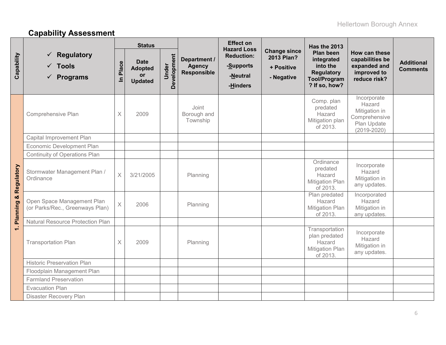# **Capability Assessment**

|                      |                                                                |                         | <b>Status</b>                                                |                      |                                                     | <b>Effect on</b><br><b>Hazard Loss</b>                 |                                                               | <b>Has the 2013</b>                                                                                     |                                                                                           |                                      |
|----------------------|----------------------------------------------------------------|-------------------------|--------------------------------------------------------------|----------------------|-----------------------------------------------------|--------------------------------------------------------|---------------------------------------------------------------|---------------------------------------------------------------------------------------------------------|-------------------------------------------------------------------------------------------|--------------------------------------|
| Capability           | <b>Regulatory</b><br>$\sqrt{ }$ Tools<br>$\checkmark$ Programs | Place<br>$\equiv$       | <b>Date</b><br><b>Adopted</b><br><b>or</b><br><b>Updated</b> | Development<br>Under | Department /<br><b>Agency</b><br><b>Responsible</b> | <b>Reduction:</b><br>-Supports<br>-Neutral<br>-Hinders | <b>Change since</b><br>2013 Plan?<br>+ Positive<br>- Negative | <b>Plan been</b><br>integrated<br>into the<br><b>Regulatory</b><br><b>Tool/Program</b><br>? If so, how? | How can these<br>capabilities be<br>expanded and<br>improved to<br>reduce risk?           | <b>Additional</b><br><b>Comments</b> |
|                      | Comprehensive Plan                                             | X                       | 2009                                                         |                      | Joint<br>Borough and<br>Township                    |                                                        |                                                               | Comp. plan<br>predated<br>Hazard<br>Mitigation plan<br>of 2013.                                         | Incorporate<br>Hazard<br>Mitigation in<br>Comprehensive<br>Plan Update<br>$(2019 - 2020)$ |                                      |
|                      | Capital Improvement Plan                                       |                         |                                                              |                      |                                                     |                                                        |                                                               |                                                                                                         |                                                                                           |                                      |
| Regulatory           | Economic Development Plan                                      |                         |                                                              |                      |                                                     |                                                        |                                                               |                                                                                                         |                                                                                           |                                      |
|                      | Continuity of Operations Plan                                  |                         |                                                              |                      |                                                     |                                                        |                                                               |                                                                                                         |                                                                                           |                                      |
|                      | Stormwater Management Plan /<br>Ordinance                      | $\overline{\mathsf{X}}$ | 3/21/2005                                                    |                      | Planning                                            |                                                        |                                                               | Ordinance<br>predated<br>Hazard<br><b>Mitigation Plan</b><br>of 2013.                                   | Incorporate<br>Hazard<br>Mitigation in<br>any updates.                                    |                                      |
| œ<br><b>Planning</b> | Open Space Management Plan<br>(or Parks/Rec., Greenways Plan)  | $\times$                | 2006                                                         |                      | Planning                                            |                                                        |                                                               | Plan predated<br>Hazard<br><b>Mitigation Plan</b><br>of 2013.                                           | Incorporated<br>Hazard<br>Mitigation in<br>any updates.                                   |                                      |
|                      | <b>Natural Resource Protection Plan</b>                        |                         |                                                              |                      |                                                     |                                                        |                                                               |                                                                                                         |                                                                                           |                                      |
| $\div$               | <b>Transportation Plan</b>                                     | $\times$                | 2009                                                         |                      | Planning                                            |                                                        |                                                               | Transportation<br>plan predated<br>Hazard<br><b>Mitigation Plan</b><br>of 2013.                         | Incorporate<br>Hazard<br>Mitigation in<br>any updates.                                    |                                      |
|                      | <b>Historic Preservation Plan</b>                              |                         |                                                              |                      |                                                     |                                                        |                                                               |                                                                                                         |                                                                                           |                                      |
|                      | Floodplain Management Plan                                     |                         |                                                              |                      |                                                     |                                                        |                                                               |                                                                                                         |                                                                                           |                                      |
|                      | <b>Farmland Preservation</b>                                   |                         |                                                              |                      |                                                     |                                                        |                                                               |                                                                                                         |                                                                                           |                                      |
|                      | <b>Evacuation Plan</b>                                         |                         |                                                              |                      |                                                     |                                                        |                                                               |                                                                                                         |                                                                                           |                                      |
|                      | Disaster Recovery Plan                                         |                         |                                                              |                      |                                                     |                                                        |                                                               |                                                                                                         |                                                                                           |                                      |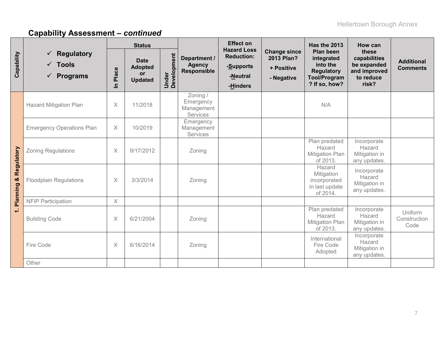|                                  |                                                                           | <b>Effect on</b><br><b>Status</b><br><b>Hazard Loss</b> |                                                       |                      |                                                     | <b>Has the 2013</b>                                    | How can                                                              |                                                                                                  |                                                                            |                                      |
|----------------------------------|---------------------------------------------------------------------------|---------------------------------------------------------|-------------------------------------------------------|----------------------|-----------------------------------------------------|--------------------------------------------------------|----------------------------------------------------------------------|--------------------------------------------------------------------------------------------------|----------------------------------------------------------------------------|--------------------------------------|
| Capability                       | <b>Regulatory</b><br><b>Tools</b><br>$\checkmark$<br><b>Programs</b><br>✓ | Place<br>$\overline{=}$                                 | <b>Date</b><br><b>Adopted</b><br>or<br><b>Updated</b> | Under<br>Development | Department /<br><b>Agency</b><br><b>Responsible</b> | <b>Reduction:</b><br>-Supports<br>-Neutral<br>-Hinders | <b>Change since</b><br><b>2013 Plan?</b><br>+ Positive<br>- Negative | Plan been<br>integrated<br>into the<br><b>Regulatory</b><br><b>Tool/Program</b><br>? If so, how? | these<br>capabilities<br>be expanded<br>and improved<br>to reduce<br>risk? | <b>Additional</b><br><b>Comments</b> |
|                                  | <b>Hazard Mitigation Plan</b>                                             | $\times$                                                | 11/2018                                               |                      | Zoning /<br>Emergency<br>Management<br>Services     |                                                        |                                                                      | N/A                                                                                              |                                                                            |                                      |
|                                  | <b>Emergency Operations Plan</b>                                          | $\times$                                                | 10/2019                                               |                      | Emergency<br>Management<br>Services                 |                                                        |                                                                      |                                                                                                  |                                                                            |                                      |
|                                  | <b>Zoning Regulations</b>                                                 | $\times$                                                | 9/17/2012                                             |                      | Zoning                                              |                                                        |                                                                      | Plan predated<br>Hazard<br><b>Mitigation Plan</b><br>of 2013.                                    | Incorporate<br>Hazard<br>Mitigation in<br>any updates.                     |                                      |
| <b>Planning &amp; Regulatory</b> | <b>Floodplain Regulations</b>                                             | $\times$                                                | 3/3/2014                                              |                      | Zoning                                              |                                                        |                                                                      | Hazard<br>Mitigation<br>incorporated<br>in last update<br>of 2014.                               | Incorporate<br>Hazard<br>Mitigation in<br>any updates.                     |                                      |
|                                  | <b>NFIP Participation</b>                                                 | $\mathsf X$                                             |                                                       |                      |                                                     |                                                        |                                                                      |                                                                                                  |                                                                            |                                      |
| $\div$                           | <b>Building Code</b>                                                      | $\times$                                                | 6/21/2004                                             |                      | Zoning                                              |                                                        |                                                                      | Plan predated<br>Hazard<br><b>Mitigation Plan</b><br>of 2013.                                    | Incorporate<br>Hazard<br>Mitigation in<br>any updates.                     | Uniform<br>Construction<br>Code      |
|                                  | Fire Code                                                                 | X                                                       | 6/16/2014                                             |                      | Zoning                                              |                                                        |                                                                      | International<br>Fire Code<br>Adopted                                                            | Incorporate<br>Hazard<br>Mitigation in<br>any updates.                     |                                      |
|                                  | Other                                                                     |                                                         |                                                       |                      |                                                     |                                                        |                                                                      |                                                                                                  |                                                                            |                                      |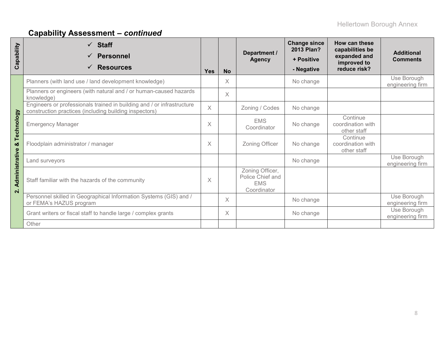| Capability                     | $\checkmark$ Staff<br><b>Personnel</b><br><b>Resources</b>                                                                       | <b>Yes</b> | <b>No</b> | Department /<br><b>Agency</b>                                    | <b>Change since</b><br>2013 Plan?<br>+ Positive<br>- Negative | How can these<br>capabilities be<br>expanded and<br>improved to<br>reduce risk? | <b>Additional</b><br><b>Comments</b> |
|--------------------------------|----------------------------------------------------------------------------------------------------------------------------------|------------|-----------|------------------------------------------------------------------|---------------------------------------------------------------|---------------------------------------------------------------------------------|--------------------------------------|
|                                | Planners (with land use / land development knowledge)                                                                            |            | X         |                                                                  | No change                                                     |                                                                                 | Use Borough<br>engineering firm      |
|                                | Planners or engineers (with natural and / or human-caused hazards<br>knowledge)                                                  |            | Χ         |                                                                  |                                                               |                                                                                 |                                      |
|                                | Engineers or professionals trained in building and / or infrastructure<br>construction practices (including building inspectors) | $\times$   |           | Zoning / Codes                                                   | No change                                                     |                                                                                 |                                      |
| Technology                     | <b>Emergency Manager</b>                                                                                                         |            |           | <b>EMS</b><br>Coordinator                                        | No change                                                     | Continue<br>coordination with<br>other staff                                    |                                      |
| ఱ                              | Floodplain administrator / manager                                                                                               | X          |           | Zoning Officer                                                   | No change                                                     | Continue<br>coordination with<br>other staff                                    |                                      |
|                                | Land surveyors                                                                                                                   |            |           |                                                                  | No change                                                     |                                                                                 | Use Borough<br>engineering firm      |
| Administrative<br>$\mathbf{N}$ | Staff familiar with the hazards of the community                                                                                 | $\times$   |           | Zoning Officer,<br>Police Chief and<br><b>EMS</b><br>Coordinator |                                                               |                                                                                 |                                      |
|                                | Personnel skilled in Geographical Information Systems (GIS) and /<br>or FEMA's HAZUS program                                     |            | X         |                                                                  | No change                                                     |                                                                                 | Use Borough<br>engineering firm      |
|                                | Grant writers or fiscal staff to handle large / complex grants                                                                   |            | X         |                                                                  | No change                                                     |                                                                                 | Use Borough<br>engineering firm      |
|                                | Other                                                                                                                            |            |           |                                                                  |                                                               |                                                                                 |                                      |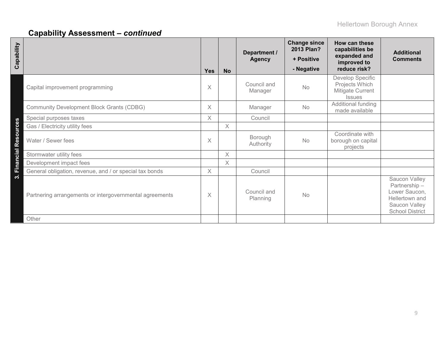| Capability                                              | <b>Yes</b> | <b>No</b> | Department /<br><b>Agency</b> | <b>Change since</b><br>2013 Plan?<br>+ Positive<br>- Negative | How can these<br>capabilities be<br>expanded and<br>improved to<br>reduce risk? | <b>Additional</b><br><b>Comments</b>                                                                        |
|---------------------------------------------------------|------------|-----------|-------------------------------|---------------------------------------------------------------|---------------------------------------------------------------------------------|-------------------------------------------------------------------------------------------------------------|
| Capital improvement programming                         | X          |           | Council and<br>Manager        | <b>No</b>                                                     | Develop Specific<br>Projects Which<br>Mitigate Current<br><b>Issues</b>         |                                                                                                             |
| <b>Community Development Block Grants (CDBG)</b>        | $\times$   |           | Manager                       | <b>No</b>                                                     | Additional funding<br>made available                                            |                                                                                                             |
| Special purposes taxes                                  | $\times$   |           | Council                       |                                                               |                                                                                 |                                                                                                             |
| Gas / Electricity utility fees                          |            | $\times$  |                               |                                                               |                                                                                 |                                                                                                             |
| 3. Financial Resources<br>Water / Sewer fees            | $\times$   |           | Borough<br>Authority          | <b>No</b>                                                     | Coordinate with<br>borough on capital<br>projects                               |                                                                                                             |
| Stormwater utility fees                                 |            | $\times$  |                               |                                                               |                                                                                 |                                                                                                             |
| Development impact fees                                 |            | $\times$  |                               |                                                               |                                                                                 |                                                                                                             |
| General obligation, revenue, and / or special tax bonds | $\times$   |           | Council                       |                                                               |                                                                                 |                                                                                                             |
| Partnering arrangements or intergovernmental agreements | X          |           | Council and<br>Planning       | No                                                            |                                                                                 | Saucon Valley<br>Partnership-<br>Lower Saucon,<br>Hellertown and<br>Saucon Valley<br><b>School District</b> |
| Other                                                   |            |           |                               |                                                               |                                                                                 |                                                                                                             |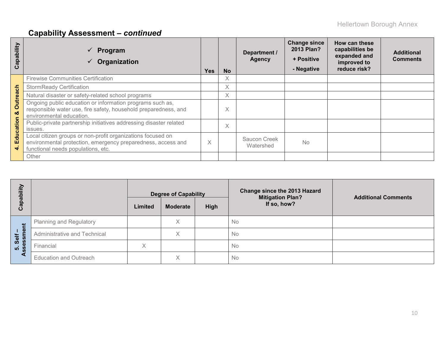| qpability<br>ပ       | Program<br>Organization                                                                                                                                           | Yes | <b>No</b> | Department /<br><b>Agency</b> | <b>Change since</b><br>2013 Plan?<br>+ Positive<br>- Negative | How can these<br>capabilities be<br>expanded and<br>improved to<br>reduce risk? | <b>Additional</b><br><b>Comments</b> |
|----------------------|-------------------------------------------------------------------------------------------------------------------------------------------------------------------|-----|-----------|-------------------------------|---------------------------------------------------------------|---------------------------------------------------------------------------------|--------------------------------------|
|                      | <b>Firewise Communities Certification</b>                                                                                                                         |     | X         |                               |                                                               |                                                                                 |                                      |
|                      | <b>StormReady Certification</b>                                                                                                                                   |     | X         |                               |                                                               |                                                                                 |                                      |
|                      | Natural disaster or safety-related school programs                                                                                                                |     | X         |                               |                                                               |                                                                                 |                                      |
| <b>Outreach</b><br>ೲ | Ongoing public education or information programs such as,<br>responsible water use, fire safety, household preparedness, and<br>environmental education.          |     | $\times$  |                               |                                                               |                                                                                 |                                      |
| Education            | Public-private partnership initiatives addressing disaster related                                                                                                |     | $\times$  |                               |                                                               |                                                                                 |                                      |
|                      | issues.                                                                                                                                                           |     |           |                               |                                                               |                                                                                 |                                      |
|                      | Local citizen groups or non-profit organizations focused on<br>environmental protection, emergency preparedness, access and<br>functional needs populations, etc. | X   |           | Saucon Creek<br>Watershed     | <b>No</b>                                                     |                                                                                 |                                      |
|                      | Other                                                                                                                                                             |     |           |                               |                                                               |                                                                                 |                                      |

| li‼<br>ပိ                      |                                | Limited | <b>Degree of Capability</b><br><b>Moderate</b> | High | Change since the 2013 Hazard<br><b>Mitigation Plan?</b><br>If so, how? | <b>Additional Comments</b> |
|--------------------------------|--------------------------------|---------|------------------------------------------------|------|------------------------------------------------------------------------|----------------------------|
| だ                              | <b>Planning and Regulatory</b> |         | X                                              |      | <b>No</b>                                                              |                            |
| $\mathbf{\Phi}$<br>Self<br>ssm | Administrative and Technical   |         | X                                              |      | No                                                                     |                            |
| <b>1</b>                       | Financial                      | X       |                                                |      | No                                                                     |                            |
|                                | <b>Education and Outreach</b>  |         | Χ                                              |      | No                                                                     |                            |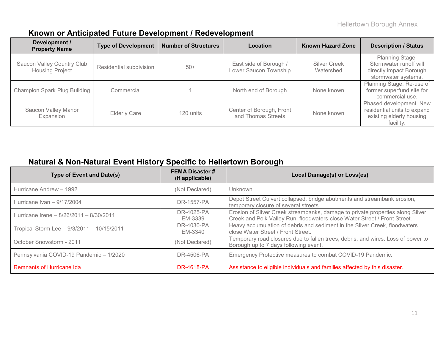#### **Known or Anticipated Future Development / Redevelopment**

| Development /<br><b>Number of Structures</b><br><b>Type of Development</b><br>Location<br><b>Property Name</b> |                         |           | <b>Known Hazard Zone</b>                        | <b>Description / Status</b>      |                                                                                                 |
|----------------------------------------------------------------------------------------------------------------|-------------------------|-----------|-------------------------------------------------|----------------------------------|-------------------------------------------------------------------------------------------------|
| Saucon Valley Country Club<br><b>Housing Project</b>                                                           | Residential subdivision | $50+$     | East side of Borough /<br>Lower Saucon Township | <b>Silver Creek</b><br>Watershed | Planning Stage.<br>Stormwater runoff will<br>directly impact Borough<br>stormwater systems.     |
| <b>Champion Spark Plug Building</b>                                                                            | Commercial              |           | North end of Borough                            | None known                       | Planning Stage. Re-use of<br>former superfund site for<br>commercial use.                       |
| Saucon Valley Manor<br>Expansion                                                                               | <b>Elderly Care</b>     | 120 units | Center of Borough, Front<br>and Thomas Streets  | None known                       | Phased development. New<br>residential units to expand<br>existing elderly housing<br>facility. |

#### **Natural & Non-Natural Event History Specific to Hellertown Borough**

| <b>Type of Event and Date(s)</b>           | <b>FEMA Disaster #</b><br>(if applicable) | Local Damage(s) or Loss(es)                                                                                                                                 |
|--------------------------------------------|-------------------------------------------|-------------------------------------------------------------------------------------------------------------------------------------------------------------|
| Hurricane Andrew - 1992                    | (Not Declared)                            | Unknown                                                                                                                                                     |
| Hurricane Ivan - 9/17/2004                 | DR-1557-PA                                | Depot Street Culvert collapsed, bridge abutments and streambank erosion,<br>temporary closure of several streets.                                           |
| Hurricane Irene - 8/26/2011 - 8/30/2011    | DR-4025-PA<br>EM-3339                     | Erosion of Silver Creek streambanks, damage to private properties along Silver<br>Creek and Polk Valley Run, floodwaters close Water Street / Front Street. |
| Tropical Storm Lee - 9/3/2011 - 10/15/2011 | DR-4030-PA<br>EM-3340                     | Heavy accumulation of debris and sediment in the Silver Creek, floodwaters<br>close Water Street / Front Street.                                            |
| October Snowstorm - 2011                   | (Not Declared)                            | Temporary road closures due to fallen trees, debris, and wires. Loss of power to<br>Borough up to 7 days following event.                                   |
| Pennsylvania COVID-19 Pandemic - 1/2020    | DR-4506-PA                                | Emergency Protective measures to combat COVID-19 Pandemic.                                                                                                  |
| <b>Remnants of Hurricane Ida</b>           | DR-4618-PA                                | Assistance to eligible individuals and families affected by this disaster.                                                                                  |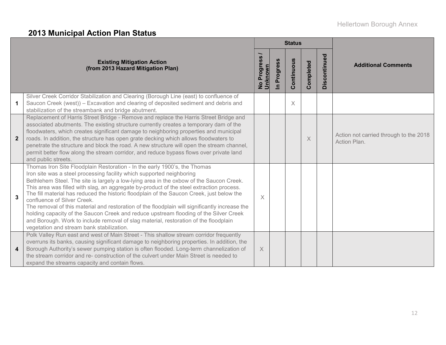# **2013 Municipal Action Plan Status**

|                         |                                                                                                                                                                                                                                                                                                                                                                                                                                                                                                                                                                                                                                                                                                                                                                                                       |                        |                            | <b>Status</b> |           |              |                                                        |
|-------------------------|-------------------------------------------------------------------------------------------------------------------------------------------------------------------------------------------------------------------------------------------------------------------------------------------------------------------------------------------------------------------------------------------------------------------------------------------------------------------------------------------------------------------------------------------------------------------------------------------------------------------------------------------------------------------------------------------------------------------------------------------------------------------------------------------------------|------------------------|----------------------------|---------------|-----------|--------------|--------------------------------------------------------|
|                         | <b>Existing Mitigation Action</b><br>(from 2013 Hazard Mitigation Plan)                                                                                                                                                                                                                                                                                                                                                                                                                                                                                                                                                                                                                                                                                                                               | No Progress<br>Unknown | Progress<br>$\overline{=}$ | Continuous    | Completed | Discontinued | <b>Additional Comments</b>                             |
| 1                       | Silver Creek Corridor Stabilization and Clearing (Borough Line (east) to confluence of<br>Saucon Creek (west)) - Excavation and clearing of deposited sediment and debris and<br>stabilization of the streambank and bridge abutment.                                                                                                                                                                                                                                                                                                                                                                                                                                                                                                                                                                 |                        |                            | $\times$      |           |              |                                                        |
| $\overline{2}$          | Replacement of Harris Street Bridge - Remove and replace the Harris Street Bridge and<br>associated abutments. The existing structure currently creates a temporary dam of the<br>floodwaters, which creates significant damage to neighboring properties and municipal<br>roads. In addition, the structure has open grate decking which allows floodwaters to<br>penetrate the structure and block the road. A new structure will open the stream channel,<br>permit better flow along the stream corridor, and reduce bypass flows over private land<br>and public streets.                                                                                                                                                                                                                        |                        |                            |               | $\times$  |              | Action not carried through to the 2018<br>Action Plan. |
| 3                       | Thomas Iron Site Floodplain Restoration - In the early 1900's, the Thomas<br>Iron site was a steel processing facility which supported neighboring<br>Bethlehem Steel. The site is largely a low-lying area in the oxbow of the Saucon Creek.<br>This area was filled with slag, an aggregate by-product of the steel extraction process.<br>The fill material has reduced the historic floodplain of the Saucon Creek, just below the<br>confluence of Silver Creek.<br>The removal of this material and restoration of the floodplain will significantly increase the<br>holding capacity of the Saucon Creek and reduce upstream flooding of the Silver Creek<br>and Borough. Work to include removal of slag material, restoration of the floodplain<br>vegetation and stream bank stabilization. | $\times$               |                            |               |           |              |                                                        |
| $\overline{\mathbf{4}}$ | Polk Valley Run east and west of Main Street - This shallow stream corridor frequently<br>overruns its banks, causing significant damage to neighboring properties. In addition, the<br>Borough Authority's sewer pumping station is often flooded. Long-term channelization of<br>the stream corridor and re- construction of the culvert under Main Street is needed to<br>expand the streams capacity and contain flows.                                                                                                                                                                                                                                                                                                                                                                           | $\times$               |                            |               |           |              |                                                        |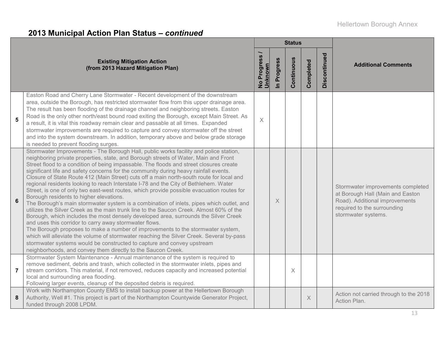|                                                                                                                                                                                                                                                                                                                                                                                                                                                                                                                                                                                                                                                                                                                                                                                                                                                                                                                                                                                                                                                                                                                                                                                                                                                                                                                                                                               |                          |                          | <b>Status</b> |                  |              |                                                                                                                                                               |
|-------------------------------------------------------------------------------------------------------------------------------------------------------------------------------------------------------------------------------------------------------------------------------------------------------------------------------------------------------------------------------------------------------------------------------------------------------------------------------------------------------------------------------------------------------------------------------------------------------------------------------------------------------------------------------------------------------------------------------------------------------------------------------------------------------------------------------------------------------------------------------------------------------------------------------------------------------------------------------------------------------------------------------------------------------------------------------------------------------------------------------------------------------------------------------------------------------------------------------------------------------------------------------------------------------------------------------------------------------------------------------|--------------------------|--------------------------|---------------|------------------|--------------|---------------------------------------------------------------------------------------------------------------------------------------------------------------|
| <b>Existing Mitigation Action</b><br>(from 2013 Hazard Mitigation Plan)                                                                                                                                                                                                                                                                                                                                                                                                                                                                                                                                                                                                                                                                                                                                                                                                                                                                                                                                                                                                                                                                                                                                                                                                                                                                                                       | No Progress /<br>Unknown | Progress<br>$\mathbf{c}$ | Continuous    | <b>Completed</b> | Discontinued | <b>Additional Comments</b>                                                                                                                                    |
| Easton Road and Cherry Lane Stormwater - Recent development of the downstream<br>area, outside the Borough, has restricted stormwater flow from this upper drainage area.<br>The result has been flooding of the drainage channel and neighboring streets. Easton<br>Road is the only other north/east bound road exiting the Borough, except Main Street. As<br>5<br>a result, it is vital this roadway remain clear and passable at all times. Expanded<br>stormwater improvements are required to capture and convey stormwater off the street<br>and into the system downstream. In addition, temporary above and below grade storage<br>is needed to prevent flooding surges.                                                                                                                                                                                                                                                                                                                                                                                                                                                                                                                                                                                                                                                                                            | $\times$                 |                          |               |                  |              |                                                                                                                                                               |
| Stormwater Improvements - The Borough Hall, public works facility and police station,<br>neighboring private properties, state, and Borough streets of Water, Main and Front<br>Street flood to a condition of being impassable. The floods and street closures create<br>significant life and safety concerns for the community during heavy rainfall events.<br>Closure of State Route 412 (Main Street) cuts off a main north-south route for local and<br>regional residents looking to reach Interstate I-78 and the City of Bethlehem. Water<br>Street, is one of only two east-west routes, which provide possible evacuation routes for<br>Borough residents to higher elevations.<br>$6\phantom{1}$<br>The Borough's main stormwater system is a combination of inlets, pipes which outlet, and<br>utilizes the Silver Creek as the main trunk line to the Saucon Creek. Almost 60% of the<br>Borough, which includes the most densely developed area, surrounds the Silver Creek<br>and uses this corridor to carry away stormwater flows.<br>The Borough proposes to make a number of improvements to the stormwater system,<br>which will alleviate the volume of stormwater reaching the Silver Creek. Several by-pass<br>stormwater systems would be constructed to capture and convey upstream<br>neighborhoods, and convey them directly to the Saucon Creek. |                          | $\times$                 |               |                  |              | Stormwater improvements completed<br>at Borough Hall (Main and Easton<br>Road). Additional improvements<br>required to the surrounding<br>stormwater systems. |
| Stormwater System Maintenance - Annual maintenance of the system is required to<br>remove sediment, debris and trash, which collected in the stormwater inlets, pipes and<br>stream corridors. This material, if not removed, reduces capacity and increased potential<br>7<br>local and surrounding area flooding.<br>Following larger events, cleanup of the deposited debris is required.                                                                                                                                                                                                                                                                                                                                                                                                                                                                                                                                                                                                                                                                                                                                                                                                                                                                                                                                                                                  |                          |                          | X             |                  |              |                                                                                                                                                               |
| Work with Northampton County EMS to install backup power at the Hellertown Borough<br>Authority, Well #1. This project is part of the Northampton Countywide Generator Project,<br>8<br>funded through 2008 LPDM.                                                                                                                                                                                                                                                                                                                                                                                                                                                                                                                                                                                                                                                                                                                                                                                                                                                                                                                                                                                                                                                                                                                                                             |                          |                          |               | $\times$         |              | Action not carried through to the 2018<br>Action Plan.                                                                                                        |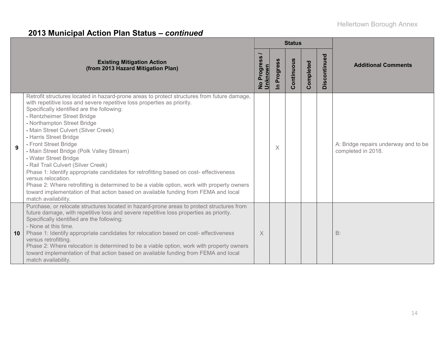|    |                                                                                                                                                                                                                                                                                                                                                                                                                                                                                                                                                                                                                                                                                                                                                                                                                       |                                     |                            | <b>Status</b> |           |              |                                                            |  |
|----|-----------------------------------------------------------------------------------------------------------------------------------------------------------------------------------------------------------------------------------------------------------------------------------------------------------------------------------------------------------------------------------------------------------------------------------------------------------------------------------------------------------------------------------------------------------------------------------------------------------------------------------------------------------------------------------------------------------------------------------------------------------------------------------------------------------------------|-------------------------------------|----------------------------|---------------|-----------|--------------|------------------------------------------------------------|--|
|    | <b>Existing Mitigation Action</b><br>(from 2013 Hazard Mitigation Plan)                                                                                                                                                                                                                                                                                                                                                                                                                                                                                                                                                                                                                                                                                                                                               | No Progress <sub>/</sub><br>Unknown | Progress<br>$\overline{=}$ | Continuous    | Completed | Discontinued | <b>Additional Comments</b>                                 |  |
| 9  | Retrofit structures located in hazard-prone areas to protect structures from future damage,<br>with repetitive loss and severe repetitive loss properties as priority.<br>Specifically identified are the following:<br>- Rentzheimer Street Bridge<br>- Northampton Street Bridge<br>- Main Street Culvert (Silver Creek)<br>- Harris Street Bridge<br>- Front Street Bridge<br>- Main Street Bridge (Polk Valley Stream)<br>- Water Street Bridge<br>- Rail Trail Culvert (Silver Creek)<br>Phase 1: Identify appropriate candidates for retrofitting based on cost-effectiveness<br>versus relocation.<br>Phase 2: Where retrofitting is determined to be a viable option, work with property owners<br>toward implementation of that action based on available funding from FEMA and local<br>match availability. |                                     | X                          |               |           |              | A: Bridge repairs underway and to be<br>completed in 2018. |  |
| 10 | Purchase, or relocate structures located in hazard-prone areas to protect structures from<br>future damage, with repetitive loss and severe repetitive loss properties as priority.<br>Specifically identified are the following:<br>- None at this time.<br>Phase 1: Identify appropriate candidates for relocation based on cost- effectiveness<br>versus retrofitting.<br>Phase 2: Where relocation is determined to be a viable option, work with property owners<br>toward implementation of that action based on available funding from FEMA and local<br>match availability.                                                                                                                                                                                                                                   | $\times$                            |                            |               |           |              | $B$ :                                                      |  |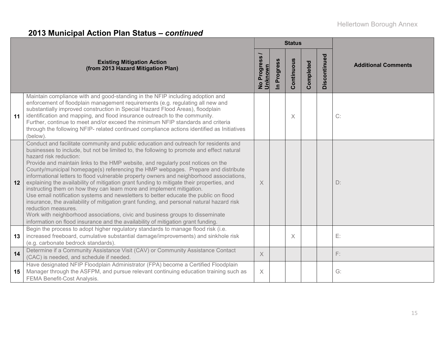|                 |                                                                                                                                                                                                                                                                                                                                                                                                                                                                                                                                                                                                                                                                                                                                                                                                                                                                                                                                                                                                                                         |                          |                          | <b>Status</b> |           |              |                            |
|-----------------|-----------------------------------------------------------------------------------------------------------------------------------------------------------------------------------------------------------------------------------------------------------------------------------------------------------------------------------------------------------------------------------------------------------------------------------------------------------------------------------------------------------------------------------------------------------------------------------------------------------------------------------------------------------------------------------------------------------------------------------------------------------------------------------------------------------------------------------------------------------------------------------------------------------------------------------------------------------------------------------------------------------------------------------------|--------------------------|--------------------------|---------------|-----------|--------------|----------------------------|
|                 | <b>Existing Mitigation Action</b><br>(from 2013 Hazard Mitigation Plan)                                                                                                                                                                                                                                                                                                                                                                                                                                                                                                                                                                                                                                                                                                                                                                                                                                                                                                                                                                 | No Progress /<br>Unknown | Progress<br>$\mathbf{a}$ | Continuous    | Completed | Discontinued | <b>Additional Comments</b> |
| 11              | Maintain compliance with and good-standing in the NFIP including adoption and<br>enforcement of floodplain management requirements (e.g. regulating all new and<br>substantially improved construction in Special Hazard Flood Areas), floodplain<br>identification and mapping, and flood insurance outreach to the community.<br>Further, continue to meet and/or exceed the minimum NFIP standards and criteria<br>through the following NFIP- related continued compliance actions identified as Initiatives<br>(below).                                                                                                                                                                                                                                                                                                                                                                                                                                                                                                            |                          |                          | $\times$      |           |              | C:                         |
| 12              | Conduct and facilitate community and public education and outreach for residents and<br>businesses to include, but not be limited to, the following to promote and effect natural<br>hazard risk reduction:<br>Provide and maintain links to the HMP website, and regularly post notices on the<br>County/municipal homepage(s) referencing the HMP webpages. Prepare and distribute<br>informational letters to flood vulnerable property owners and neighborhood associations,<br>explaining the availability of mitigation grant funding to mitigate their properties, and<br>instructing them on how they can learn more and implement mitigation.<br>Use email notification systems and newsletters to better educate the public on flood<br>insurance, the availability of mitigation grant funding, and personal natural hazard risk<br>reduction measures.<br>Work with neighborhood associations, civic and business groups to disseminate<br>information on flood insurance and the availability of mitigation grant funding. | X                        |                          |               |           |              | D:                         |
| 13              | Begin the process to adopt higher regulatory standards to manage flood risk (i.e.<br>increased freeboard, cumulative substantial damage/improvements) and sinkhole risk<br>(e.g. carbonate bedrock standards).                                                                                                                                                                                                                                                                                                                                                                                                                                                                                                                                                                                                                                                                                                                                                                                                                          |                          |                          | X             |           |              | E:                         |
| 14              | Determine if a Community Assistance Visit (CAV) or Community Assistance Contact<br>(CAC) is needed, and schedule if needed.                                                                                                                                                                                                                                                                                                                                                                                                                                                                                                                                                                                                                                                                                                                                                                                                                                                                                                             | $\times$                 |                          |               |           |              | F:                         |
| 15 <sub>1</sub> | Have designated NFIP Floodplain Administrator (FPA) become a Certified Floodplain<br>Manager through the ASFPM, and pursue relevant continuing education training such as<br>FEMA Benefit-Cost Analysis.                                                                                                                                                                                                                                                                                                                                                                                                                                                                                                                                                                                                                                                                                                                                                                                                                                | X                        |                          |               |           |              | $G$ :                      |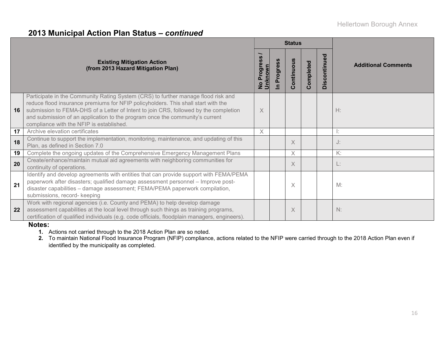|    |                                                                                                                                                                                                                                                                                                                                                                                            | <b>Status</b>                 |                               |            |                                      |              |                            |  |  |
|----|--------------------------------------------------------------------------------------------------------------------------------------------------------------------------------------------------------------------------------------------------------------------------------------------------------------------------------------------------------------------------------------------|-------------------------------|-------------------------------|------------|--------------------------------------|--------------|----------------------------|--|--|
|    | <b>Existing Mitigation Action</b><br>(from 2013 Hazard Mitigation Plan)                                                                                                                                                                                                                                                                                                                    | No Progress<br><u>Unknown</u> | rogres<br>൨<br>$\overline{a}$ | Continuous | mpleted<br>$\circ$<br>$\overline{O}$ | Discontinued | <b>Additional Comments</b> |  |  |
| 16 | Participate in the Community Rating System (CRS) to further manage flood risk and<br>reduce flood insurance premiums for NFIP policyholders. This shall start with the<br>submission to FEMA-DHS of a Letter of Intent to join CRS, followed by the completion<br>and submission of an application to the program once the community's current<br>compliance with the NFIP is established. | X                             |                               |            |                                      |              | H:                         |  |  |
| 17 | Archive elevation certificates                                                                                                                                                                                                                                                                                                                                                             | X                             |                               |            |                                      |              | Ŀ.                         |  |  |
| 18 | Continue to support the implementation, monitoring, maintenance, and updating of this<br>Plan, as defined in Section 7.0                                                                                                                                                                                                                                                                   |                               |                               | X          |                                      |              | J:                         |  |  |
| 19 | Complete the ongoing updates of the Comprehensive Emergency Management Plans                                                                                                                                                                                                                                                                                                               |                               |                               | X          |                                      |              | K:                         |  |  |
| 20 | Create/enhance/maintain mutual aid agreements with neighboring communities for<br>continuity of operations.                                                                                                                                                                                                                                                                                |                               |                               | X          |                                      |              | L.                         |  |  |
| 21 | Identify and develop agreements with entities that can provide support with FEMA/PEMA<br>paperwork after disasters; qualified damage assessment personnel - Improve post-<br>disaster capabilities - damage assessment; FEMA/PEMA paperwork compilation,<br>submissions, record- keeping                                                                                                   |                               |                               | X          |                                      |              | M:                         |  |  |
| 22 | Work with regional agencies (i.e. County and PEMA) to help develop damage<br>assessment capabilities at the local level through such things as training programs,<br>certification of qualified individuals (e.g. code officials, floodplain managers, engineers).                                                                                                                         |                               |                               | X          |                                      |              | N:                         |  |  |

#### **Notes:**

**1.** Actions not carried through to the 2018 Action Plan are so noted.

**2.** To maintain National Flood Insurance Program (NFIP) compliance, actions related to the NFIP were carried through to the 2018 Action Plan even if identified by the municipality as completed.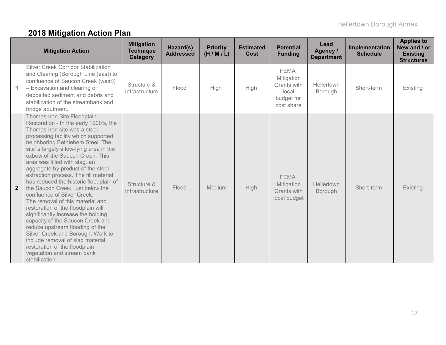# **2018 Mitigation Action Plan**

|                | <b>Mitigation Action</b>                                                                                                                                                                                                                                                                                                                                                                                                                                                                                                                                                                                                                                                                                                                                                                                                                     | <b>Mitigation</b><br><b>Technique</b><br>Category | Hazard(s)<br><b>Addressed</b> | <b>Priority</b><br>(H/M/L) | <b>Estimated</b><br>Cost | <b>Potential</b><br><b>Funding</b>                                            | Lead<br>Agency /<br><b>Department</b> | Implementation<br><b>Schedule</b> | <b>Applies to</b><br>New and / or<br><b>Existing</b><br><b>Structures</b> |
|----------------|----------------------------------------------------------------------------------------------------------------------------------------------------------------------------------------------------------------------------------------------------------------------------------------------------------------------------------------------------------------------------------------------------------------------------------------------------------------------------------------------------------------------------------------------------------------------------------------------------------------------------------------------------------------------------------------------------------------------------------------------------------------------------------------------------------------------------------------------|---------------------------------------------------|-------------------------------|----------------------------|--------------------------|-------------------------------------------------------------------------------|---------------------------------------|-----------------------------------|---------------------------------------------------------------------------|
| $\mathbf 1$    | Silver Creek Corridor Stabilization<br>and Clearing (Borough Line (east) to<br>confluence of Saucon Creek (west))<br>- Excavation and clearing of<br>deposited sediment and debris and<br>stabilization of the streambank and<br>bridge abutment.                                                                                                                                                                                                                                                                                                                                                                                                                                                                                                                                                                                            | Structure &<br>Infrastructure                     | Flood                         | High                       | High                     | <b>FEMA</b><br>Mitigation<br>Grants with<br>local<br>budget for<br>cost share | Hellertown<br><b>Borough</b>          | Short-term                        | Existing                                                                  |
| $\overline{2}$ | Thomas Iron Site Floodplain<br>Restoration - In the early 1900's, the<br>Thomas Iron site was a steel<br>processing facility which supported<br>neighboring Bethlehem Steel. The<br>site is largely a low-lying area in the<br>oxbow of the Saucon Creek. This<br>area was filled with slag, an<br>aggregate by-product of the steel<br>extraction process. The fill material<br>has reduced the historic floodplain of<br>the Saucon Creek, just below the<br>confluence of Silver Creek.<br>The removal of this material and<br>restoration of the floodplain will<br>significantly increase the holding<br>capacity of the Saucon Creek and<br>reduce upstream flooding of the<br>Silver Creek and Borough. Work to<br>include removal of slag material,<br>restoration of the floodplain<br>vegetation and stream bank<br>stabilization. | Structure &<br>Infrastructure                     | Flood                         | Medium                     | High                     | <b>FEMA</b><br>Mitigation<br>Grants with<br>local budget                      | Hellertown<br><b>Borough</b>          | Short-term                        | <b>Existing</b>                                                           |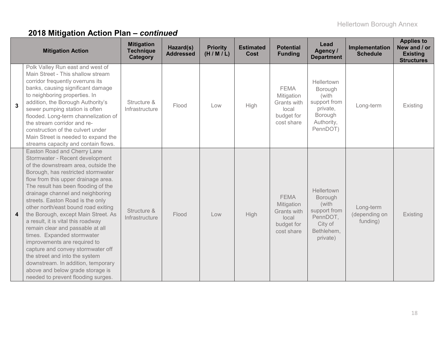|                  | <b>Mitigation Action</b>                                                                                                                                                                                                                                                                                                                                                                                                                                                                                                                                                                                                                                                                                              | <b>Mitigation</b><br><b>Technique</b><br><b>Category</b> | Hazard(s)<br><b>Addressed</b> | <b>Priority</b><br>(H/M/L) | <b>Estimated</b><br>Cost | <b>Potential</b><br><b>Funding</b>                                                   | Lead<br>Agency /<br><b>Department</b>                                                           | Implementation<br><b>Schedule</b>      | <b>Applies to</b><br>New and / or<br><b>Existing</b><br><b>Structures</b> |
|------------------|-----------------------------------------------------------------------------------------------------------------------------------------------------------------------------------------------------------------------------------------------------------------------------------------------------------------------------------------------------------------------------------------------------------------------------------------------------------------------------------------------------------------------------------------------------------------------------------------------------------------------------------------------------------------------------------------------------------------------|----------------------------------------------------------|-------------------------------|----------------------------|--------------------------|--------------------------------------------------------------------------------------|-------------------------------------------------------------------------------------------------|----------------------------------------|---------------------------------------------------------------------------|
| 3                | Polk Valley Run east and west of<br>Main Street - This shallow stream<br>corridor frequently overruns its<br>banks, causing significant damage<br>to neighboring properties. In<br>addition, the Borough Authority's<br>sewer pumping station is often<br>flooded. Long-term channelization of<br>the stream corridor and re-<br>construction of the culvert under<br>Main Street is needed to expand the<br>streams capacity and contain flows.                                                                                                                                                                                                                                                                      | Structure &<br>Infrastructure                            | Flood                         | Low                        | High                     | <b>FEMA</b><br>Mitigation<br>Grants with<br>local<br>budget for<br>cost share        | Hellertown<br>Borough<br>(with<br>support from<br>private,<br>Borough<br>Authority,<br>PennDOT) | Long-term                              | Existing                                                                  |
| $\boldsymbol{4}$ | <b>Easton Road and Cherry Lane</b><br>Stormwater - Recent development<br>of the downstream area, outside the<br>Borough, has restricted stormwater<br>flow from this upper drainage area.<br>The result has been flooding of the<br>drainage channel and neighboring<br>streets. Easton Road is the only<br>other north/east bound road exiting<br>the Borough, except Main Street. As<br>a result, it is vital this roadway<br>remain clear and passable at all<br>times. Expanded stormwater<br>improvements are required to<br>capture and convey stormwater off<br>the street and into the system<br>downstream. In addition, temporary<br>above and below grade storage is<br>needed to prevent flooding surges. | Structure &<br>Infrastructure                            | Flood                         | Low                        | <b>High</b>              | <b>FEMA</b><br>Mitigation<br><b>Grants with</b><br>local<br>budget for<br>cost share | Hellertown<br>Borough<br>(with<br>support from<br>PennDOT,<br>City of<br>Bethlehem,<br>private) | Long-term<br>(depending on<br>funding) | Existing                                                                  |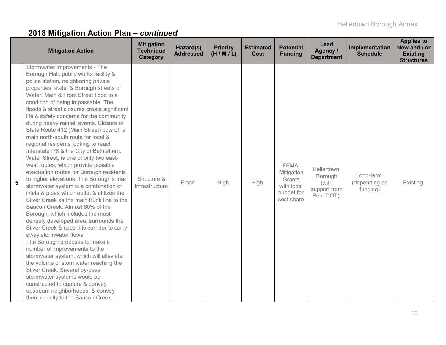|   | <b>Mitigation Action</b>                                                                                                                                                                                                                                                                                                                                                                                                                                                                                                                                                                                                                                                                                                                                                                                                                                                                                                                                                                                                                                                                                                                                                                                                                                                                                                                                                                    | <b>Mitigation</b><br><b>Technique</b><br>Category | Hazard(s)<br><b>Addressed</b> | <b>Priority</b><br>(H/M/L) | <b>Estimated</b><br>Cost | <b>Potential</b><br><b>Funding</b>                                            | Lead<br>Agency /<br><b>Department</b>                      | Implementation<br><b>Schedule</b>      | <b>Applies to</b><br>New and / or<br><b>Existing</b><br><b>Structures</b> |
|---|---------------------------------------------------------------------------------------------------------------------------------------------------------------------------------------------------------------------------------------------------------------------------------------------------------------------------------------------------------------------------------------------------------------------------------------------------------------------------------------------------------------------------------------------------------------------------------------------------------------------------------------------------------------------------------------------------------------------------------------------------------------------------------------------------------------------------------------------------------------------------------------------------------------------------------------------------------------------------------------------------------------------------------------------------------------------------------------------------------------------------------------------------------------------------------------------------------------------------------------------------------------------------------------------------------------------------------------------------------------------------------------------|---------------------------------------------------|-------------------------------|----------------------------|--------------------------|-------------------------------------------------------------------------------|------------------------------------------------------------|----------------------------------------|---------------------------------------------------------------------------|
| 5 | Stormwater Improvements - The<br>Borough Hall, public works facility &<br>police station, neighboring private<br>properties, state, & Borough streets of<br>Water, Main & Front Street flood to a<br>condition of being impassable. The<br>floods & street closures create significant<br>life & safety concerns for the community<br>during heavy rainfall events. Closure of<br>State Route 412 (Main Street) cuts off a<br>main north-south route for local &<br>regional residents looking to reach<br>Interstate I78 & the City of Bethlehem.<br>Water Street, is one of only two east-<br>west routes, which provide possible<br>evacuation routes for Borough residents<br>to higher elevations. The Borough's main<br>stormwater system is a combination of<br>inlets & pipes which outlet & utilizes the<br>Silver Creek as the main trunk line to the<br>Saucon Creek. Almost 60% of the<br>Borough, which includes the most<br>densely developed area, surrounds the<br>Silver Creek & uses this corridor to carry<br>away stormwater flows.<br>The Borough proposes to make a<br>number of improvements to the<br>stormwater system, which will alleviate<br>the volume of stormwater reaching the<br>Silver Creek. Several by-pass<br>stormwater systems would be<br>constructed to capture & convey<br>upstream neighborhoods, & convey<br>them directly to the Saucon Creek. | Structure &<br>Infrastructure                     | Flood                         | High                       | High                     | <b>FEMA</b><br>Mitigation<br>Grants<br>with local<br>budget for<br>cost share | Hellertown<br>Borough<br>(with<br>support from<br>PennDOT) | Long-term<br>(depending on<br>funding) | Existing                                                                  |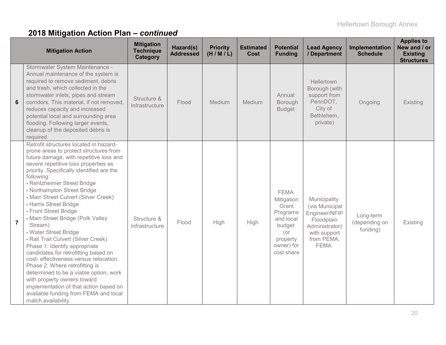|                | <b>Mitigation Action</b>                                                                                                                                                                                                                                                                                                                                                                                                                                                                                                                                                                                                                                                                                                                                                                                                                        | <b>Mitigation</b><br><b>Technique</b><br>Category | Hazard(s)<br><b>Addressed</b> | <b>Priority</b><br>(H/M/L) | <b>Estimated</b><br>Cost | <b>Potential</b><br><b>Funding</b>                                                                                      | <b>Lead Agency</b><br>/ Department                                                                                           | Implementation<br><b>Schedule</b>      | <b>Applies to</b><br>New and / or<br><b>Existing</b><br><b>Structures</b> |
|----------------|-------------------------------------------------------------------------------------------------------------------------------------------------------------------------------------------------------------------------------------------------------------------------------------------------------------------------------------------------------------------------------------------------------------------------------------------------------------------------------------------------------------------------------------------------------------------------------------------------------------------------------------------------------------------------------------------------------------------------------------------------------------------------------------------------------------------------------------------------|---------------------------------------------------|-------------------------------|----------------------------|--------------------------|-------------------------------------------------------------------------------------------------------------------------|------------------------------------------------------------------------------------------------------------------------------|----------------------------------------|---------------------------------------------------------------------------|
| 6              | Stormwater System Maintenance -<br>Annual maintenance of the system is<br>required to remove sediment, debris<br>and trash, which collected in the<br>stormwater inlets, pipes and stream<br>corridors. This material, if not removed,<br>reduces capacity and increased<br>potential local and surrounding area<br>flooding. Following larger events,<br>cleanup of the deposited debris is<br>required.                                                                                                                                                                                                                                                                                                                                                                                                                                       | Structure &<br>Infrastructure                     | Flood                         | Medium                     | Medium                   | Annual<br>Borough<br><b>Budget</b>                                                                                      | Hellertown<br>Borough (with<br>support from<br>PennDOT,<br>City of<br>Bethlehem,<br>private)                                 | Ongoing                                | Existing                                                                  |
| $\overline{7}$ | Retrofit structures located in hazard-<br>prone areas to protect structures from<br>future damage, with repetitive loss and<br>severe repetitive loss properties as<br>priority. Specifically identified are the<br>following:<br>- Rentzheimer Street Bridge<br>- Northampton Street Bridge<br>- Main Street Culvert (Silver Creek)<br>- Harris Street Bridge<br>- Front Street Bridge<br>- Main Street Bridge (Polk Valley<br>Stream)<br>- Water Street Bridge<br>- Rail Trail Culvert (Silver Creek)<br>Phase 1: Identify appropriate<br>candidates for retrofitting based on<br>cost- effectiveness versus relocation.<br>Phase 2: Where retrofitting is<br>determined to be a viable option, work<br>with property owners toward<br>implementation of that action based on<br>available funding from FEMA and local<br>match availability. | Structure &<br>Infrastructure                     | Flood                         | High                       | High                     | <b>FEMA</b><br>Mitigation<br>Grant<br>Programs<br>and local<br>budget<br>$($ or<br>property<br>owner) for<br>cost share | Municipality<br>(via Municipal<br>Engineer/NFIP<br>Floodplain<br>Administrator)<br>with support<br>from PEMA,<br><b>FEMA</b> | Long-term<br>(depending on<br>funding) | Existing                                                                  |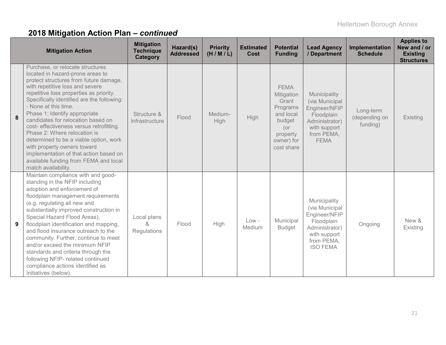|   | <b>Mitigation Action</b>                                                                                                                                                                                                                                                                                                                                                                                                                                                                                                                                                                                 | <b>Mitigation</b><br><b>Technique</b><br><b>Category</b> | Hazard(s)<br><b>Addressed</b> | <b>Priority</b><br>(H/M/L) | <b>Estimated</b><br><b>Cost</b> | <b>Potential</b><br><b>Funding</b>                                                                                   | <b>Lead Agency</b><br>/ Department                                                                                               | Implementation<br><b>Schedule</b>      | <b>Applies to</b><br>New and / or<br><b>Existing</b><br><b>Structures</b> |
|---|----------------------------------------------------------------------------------------------------------------------------------------------------------------------------------------------------------------------------------------------------------------------------------------------------------------------------------------------------------------------------------------------------------------------------------------------------------------------------------------------------------------------------------------------------------------------------------------------------------|----------------------------------------------------------|-------------------------------|----------------------------|---------------------------------|----------------------------------------------------------------------------------------------------------------------|----------------------------------------------------------------------------------------------------------------------------------|----------------------------------------|---------------------------------------------------------------------------|
| 8 | Purchase, or relocate structures<br>located in hazard-prone areas to<br>protect structures from future damage,<br>with repetitive loss and severe<br>repetitive loss properties as priority.<br>Specifically identified are the following:<br>- None at this time.<br>Phase 1: Identify appropriate<br>candidates for relocation based on<br>cost- effectiveness versus retrofitting.<br>Phase 2: Where relocation is<br>determined to be a viable option, work<br>with property owners toward<br>implementation of that action based on<br>available funding from FEMA and local<br>match availability. | Structure &<br>Infrastructure                            | Flood                         | Medium-<br>High            | High                            | <b>FEMA</b><br>Mitigation<br>Grant<br>Programs<br>and local<br>budget<br>(or<br>property<br>owner) for<br>cost share | Municipality<br>(via Municipal<br>Engineer/NFIP<br>Floodplain<br>Administrator)<br>with support<br>from PEMA,<br><b>FEMA</b>     | Long-term<br>(depending on<br>funding) | Existing                                                                  |
| 9 | Maintain compliance with and good-<br>standing in the NFIP including<br>adoption and enforcement of<br>floodplain management requirements<br>(e.g. regulating all new and<br>substantially improved construction in<br>Special Hazard Flood Areas),<br>floodplain identification and mapping,<br>and flood insurance outreach to the<br>community. Further, continue to meet<br>and/or exceed the minimum NFIP<br>standards and criteria through the<br>following NFIP- related continued<br>compliance actions identified as<br>Initiatives (below).                                                    | Local plans<br>&<br>Regulations                          | Flood                         | High                       | $Low -$<br>Medium               | Municipal<br><b>Budget</b>                                                                                           | Municipality<br>(via Municipal<br>Engineer/NFIP<br>Floodplain<br>Administrator)<br>with support<br>from PEMA,<br><b>ISO FEMA</b> | Ongoing                                | New &<br>Existing                                                         |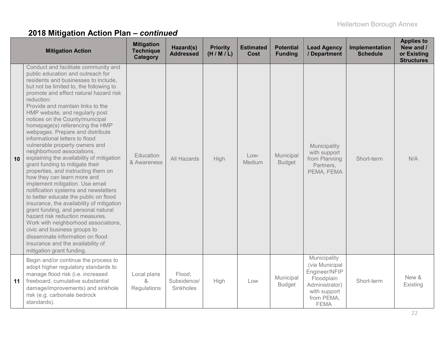|    | <b>Mitigation Action</b>                                                                                                                                                                                                                                                                                                                                                                                                                                                                                                                                                                                                                                                                                                                                                                                                                                                                                                                                                                                                                                                                | <b>Mitigation</b><br><b>Technique</b><br>Category | Hazard(s)<br><b>Addressed</b>      | <b>Priority</b><br>(H/M/L) | <b>Estimated</b><br><b>Cost</b> | <b>Potential</b><br><b>Funding</b> | <b>Lead Agency</b><br>/ Department                                                                                           | Implementation<br><b>Schedule</b> | <b>Applies to</b><br>New and /<br>or Existing<br><b>Structures</b> |
|----|-----------------------------------------------------------------------------------------------------------------------------------------------------------------------------------------------------------------------------------------------------------------------------------------------------------------------------------------------------------------------------------------------------------------------------------------------------------------------------------------------------------------------------------------------------------------------------------------------------------------------------------------------------------------------------------------------------------------------------------------------------------------------------------------------------------------------------------------------------------------------------------------------------------------------------------------------------------------------------------------------------------------------------------------------------------------------------------------|---------------------------------------------------|------------------------------------|----------------------------|---------------------------------|------------------------------------|------------------------------------------------------------------------------------------------------------------------------|-----------------------------------|--------------------------------------------------------------------|
| 10 | Conduct and facilitate community and<br>public education and outreach for<br>residents and businesses to include,<br>but not be limited to, the following to<br>promote and effect natural hazard risk<br>reduction:<br>Provide and maintain links to the<br>HMP website, and regularly post<br>notices on the County/municipal<br>homepage(s) referencing the HMP<br>webpages. Prepare and distribute<br>informational letters to flood<br>vulnerable property owners and<br>neighborhood associations,<br>explaining the availability of mitigation<br>grant funding to mitigate their<br>properties, and instructing them on<br>how they can learn more and<br>implement mitigation. Use email<br>notification systems and newsletters<br>to better educate the public on flood<br>insurance, the availability of mitigation<br>grant funding, and personal natural<br>hazard risk reduction measures.<br>Work with neighborhood associations,<br>civic and business groups to<br>disseminate information on flood<br>insurance and the availability of<br>mitigation grant funding. | Education<br>& Awareness                          | All Hazards                        | High                       | Low-<br>Medium                  | Municipal<br><b>Budget</b>         | Municipality<br>with support<br>from Planning<br>Partners,<br>PEMA, FEMA                                                     | Short-term                        | N/A                                                                |
| 11 | Begin and/or continue the process to<br>adopt higher regulatory standards to<br>manage flood risk (i.e. increased<br>freeboard, cumulative substantial<br>damage/improvements) and sinkhole<br>risk (e.g. carbonate bedrock<br>standards).                                                                                                                                                                                                                                                                                                                                                                                                                                                                                                                                                                                                                                                                                                                                                                                                                                              | Local plans<br>&<br>Regulations                   | Flood:<br>Subsidence/<br>Sinkholes | <b>High</b>                | Low                             | Municipal<br><b>Budget</b>         | Municipality<br>(via Municipal<br>Engineer/NFIP<br>Floodplain<br>Administrator)<br>with support<br>from PEMA,<br><b>FEMA</b> | Short-term                        | New &<br>Existing                                                  |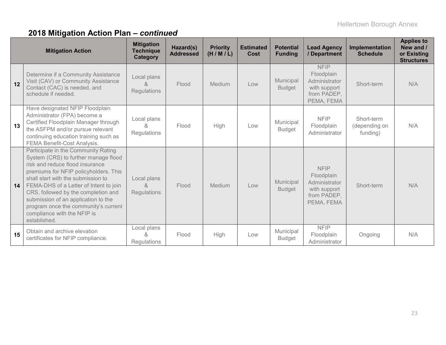|    | <b>Mitigation Action</b>                                                                                                                                                                                                                                                                                                                                                                                     | <b>Mitigation</b><br><b>Technique</b><br><b>Category</b> | Hazard(s)<br><b>Addressed</b> | <b>Priority</b><br>(H/M/L) | <b>Estimated</b><br>Cost | <b>Potential</b><br><b>Funding</b> | <b>Lead Agency</b><br>/ Department                                                      | Implementation<br><b>Schedule</b>       | <b>Applies to</b><br>New and /<br>or Existing<br><b>Structures</b> |
|----|--------------------------------------------------------------------------------------------------------------------------------------------------------------------------------------------------------------------------------------------------------------------------------------------------------------------------------------------------------------------------------------------------------------|----------------------------------------------------------|-------------------------------|----------------------------|--------------------------|------------------------------------|-----------------------------------------------------------------------------------------|-----------------------------------------|--------------------------------------------------------------------|
| 12 | Determine if a Community Assistance<br>Visit (CAV) or Community Assistance<br>Contact (CAC) is needed, and<br>schedule if needed.                                                                                                                                                                                                                                                                            | Local plans<br>$\alpha$<br>Regulations                   | Flood                         | Medium                     | Low                      | Municipal<br><b>Budget</b>         | <b>NFIP</b><br>Floodplain<br>Administrator<br>with support<br>from PADEP,<br>PEMA, FEMA | Short-term                              | N/A                                                                |
| 13 | Have designated NFIP Floodplain<br>Administrator (FPA) become a<br>Certified Floodplain Manager through<br>the ASFPM and/or pursue relevant<br>continuing education training such as<br>FEMA Benefit-Cost Analysis.                                                                                                                                                                                          | Local plans<br>&<br>Regulations                          | Flood                         | High                       | Low                      | Municipal<br><b>Budget</b>         | <b>NFIP</b><br>Floodplain<br>Administrator                                              | Short-term<br>(depending on<br>funding) | N/A                                                                |
| 14 | Participate in the Community Rating<br>System (CRS) to further manage flood<br>risk and reduce flood insurance<br>premiums for NFIP policyholders. This<br>shall start with the submission to<br>FEMA-DHS of a Letter of Intent to join<br>CRS, followed by the completion and<br>submission of an application to the<br>program once the community's current<br>compliance with the NFIP is<br>established. | Local plans<br>&<br><b>Regulations</b>                   | Flood                         | Medium                     | Low                      | Municipal<br><b>Budget</b>         | <b>NFIP</b><br>Floodplain<br>Administrator<br>with support<br>from PADEP,<br>PEMA, FEMA | Short-term                              | N/A                                                                |
| 15 | Obtain and archive elevation<br>certificates for NFIP compliance.                                                                                                                                                                                                                                                                                                                                            | Local plans<br>ጼ<br>Regulations                          | Flood                         | High                       | Low                      | Municipal<br><b>Budget</b>         | <b>NFIP</b><br>Floodplain<br>Administrator                                              | Ongoing                                 | N/A                                                                |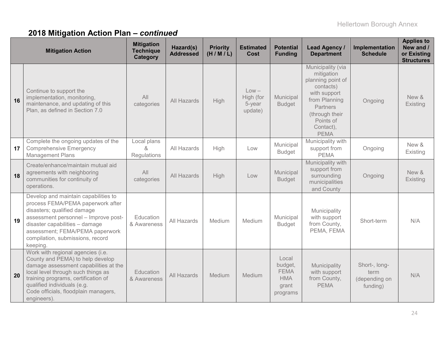|    | <b>Mitigation Action</b>                                                                                                                                                                                                                                                          | <b>Mitigation</b><br><b>Technique</b><br>Category | Hazard(s)<br><b>Addressed</b> | <b>Priority</b><br>(H/M/L) | <b>Estimated</b><br>Cost                  | <b>Potential</b><br><b>Funding</b>                                 | Lead Agency /<br><b>Department</b>                                                                                                                                               | Implementation<br><b>Schedule</b>                  | <b>Applies to</b><br>New and /<br>or Existing<br><b>Structures</b> |
|----|-----------------------------------------------------------------------------------------------------------------------------------------------------------------------------------------------------------------------------------------------------------------------------------|---------------------------------------------------|-------------------------------|----------------------------|-------------------------------------------|--------------------------------------------------------------------|----------------------------------------------------------------------------------------------------------------------------------------------------------------------------------|----------------------------------------------------|--------------------------------------------------------------------|
| 16 | Continue to support the<br>implementation, monitoring,<br>maintenance, and updating of this<br>Plan, as defined in Section 7.0                                                                                                                                                    | All<br>categories                                 | All Hazards                   | <b>High</b>                | $Low -$<br>High (for<br>5-year<br>update) | Municipal<br><b>Budget</b>                                         | Municipality (via<br>mitigation<br>planning point of<br>contacts)<br>with support<br>from Planning<br><b>Partners</b><br>(through their<br>Points of<br>Contact),<br><b>PEMA</b> | Ongoing                                            | New &<br>Existing                                                  |
| 17 | Complete the ongoing updates of the<br><b>Comprehensive Emergency</b><br><b>Management Plans</b>                                                                                                                                                                                  | Local plans<br>&<br>Regulations                   | All Hazards                   | High                       | Low                                       | Municipal<br><b>Budget</b>                                         | Municipality with<br>support from<br><b>PEMA</b>                                                                                                                                 | Ongoing                                            | New &<br>Existing                                                  |
| 18 | Create/enhance/maintain mutual aid<br>agreements with neighboring<br>communities for continuity of<br>operations.                                                                                                                                                                 | All<br>categories                                 | All Hazards                   | High                       | Low                                       | Municipal<br><b>Budget</b>                                         | Municipality with<br>support from<br>surrounding<br>municipalities<br>and County                                                                                                 | Ongoing                                            | New &<br>Existing                                                  |
| 19 | Develop and maintain capabilities to<br>process FEMA/PEMA paperwork after<br>disasters; qualified damage<br>assessment personnel - Improve post-<br>disaster capabilities - damage<br>assessment; FEMA/PEMA paperwork<br>compilation, submissions, record<br>keeping.             | Education<br>& Awareness                          | All Hazards                   | Medium                     | Medium                                    | Municipal<br><b>Budget</b>                                         | Municipality<br>with support<br>from County,<br>PEMA, FEMA                                                                                                                       | Short-term                                         | N/A                                                                |
| 20 | Work with regional agencies (i.e.<br>County and PEMA) to help develop<br>damage assessment capabilities at the<br>local level through such things as<br>training programs, certification of<br>qualified individuals (e.g.<br>Code officials, floodplain managers,<br>engineers). | Education<br>& Awareness                          | <b>All Hazards</b>            | Medium                     | Medium                                    | Local<br>budget,<br><b>FEMA</b><br><b>HMA</b><br>grant<br>programs | Municipality<br>with support<br>from County,<br><b>PEMA</b>                                                                                                                      | Short-, long-<br>term<br>(depending on<br>funding) | N/A                                                                |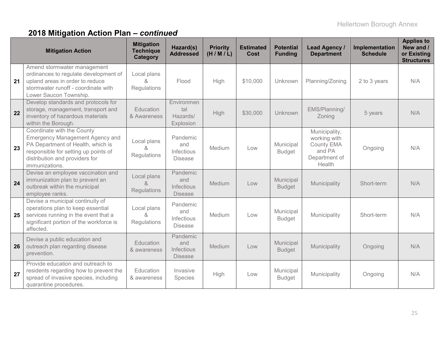| <b>Mitigation Action</b> |                                                                                                                                                                                                       | <b>Mitigation</b><br><b>Technique</b><br><b>Category</b> | Hazard(s)<br><b>Addressed</b>                          | <b>Priority</b><br>(H/M/L) | <b>Estimated</b><br>Cost | <b>Potential</b><br><b>Funding</b> | Lead Agency /<br><b>Department</b>                                               | Implementation<br><b>Schedule</b> | <b>Applies to</b><br>New and /<br>or Existing<br><b>Structures</b> |
|--------------------------|-------------------------------------------------------------------------------------------------------------------------------------------------------------------------------------------------------|----------------------------------------------------------|--------------------------------------------------------|----------------------------|--------------------------|------------------------------------|----------------------------------------------------------------------------------|-----------------------------------|--------------------------------------------------------------------|
| 21                       | Amend stormwater management<br>ordinances to regulate development of<br>upland areas in order to reduce<br>stormwater runoff - coordinate with<br>Lower Saucon Township.                              | Local plans<br>&<br>Regulations                          | Flood                                                  | High                       | \$10,000                 | Unknown                            | Planning/Zoning                                                                  | 2 to 3 years                      | N/A                                                                |
| 22                       | Develop standards and protocols for<br>storage, management, transport and<br>inventory of hazardous materials<br>within the Borough.                                                                  | Education<br>& Awareness                                 | Environmen<br>tal<br>Hazards/<br>Explosion             | High                       | \$30,000                 | Unknown                            | EMS/Planning/<br>Zoning                                                          | 5 years                           | N/A                                                                |
| 23                       | Coordinate with the County<br><b>Emergency Management Agency and</b><br>PA Department of Health, which is<br>responsible for setting up points of<br>distribution and providers for<br>immunizations. | Local plans<br>ጼ<br>Regulations                          | Pandemic<br>and<br>Infectious<br><b>Disease</b>        | Medium                     | Low                      | Municipal<br><b>Budget</b>         | Municipality,<br>working with<br>County EMA<br>and PA<br>Department of<br>Health | Ongoing                           | N/A                                                                |
| 24                       | Devise an employee vaccination and<br>immunization plan to prevent an<br>outbreak within the municipal<br>employee ranks.                                                                             | Local plans<br>&<br><b>Regulations</b>                   | Pandemic<br>and<br><b>Infectious</b><br><b>Disease</b> | Medium                     | Low                      | Municipal<br><b>Budget</b>         | Municipality                                                                     | Short-term                        | N/A                                                                |
| 25                       | Devise a municipal continuity of<br>operations plan to keep essential<br>services running in the event that a<br>significant portion of the workforce is<br>affected.                                 | Local plans<br>&<br>Regulations                          | Pandemic<br>and<br>Infectious<br><b>Disease</b>        | Medium                     | Low                      | Municipal<br><b>Budget</b>         | Municipality                                                                     | Short-term                        | N/A                                                                |
| 26                       | Devise a public education and<br>outreach plan regarding disease<br>prevention.                                                                                                                       | Education<br>& awareness                                 | Pandemic<br>and<br><b>Infectious</b><br><b>Disease</b> | Medium                     | Low                      | Municipal<br><b>Budget</b>         | Municipality                                                                     | Ongoing                           | N/A                                                                |
| 27                       | Provide education and outreach to<br>residents regarding how to prevent the<br>spread of invasive species, including<br>quarantine procedures.                                                        | Education<br>& awareness                                 | Invasive<br>Species                                    | High                       | Low                      | Municipal<br><b>Budget</b>         | Municipality                                                                     | Ongoing                           | N/A                                                                |